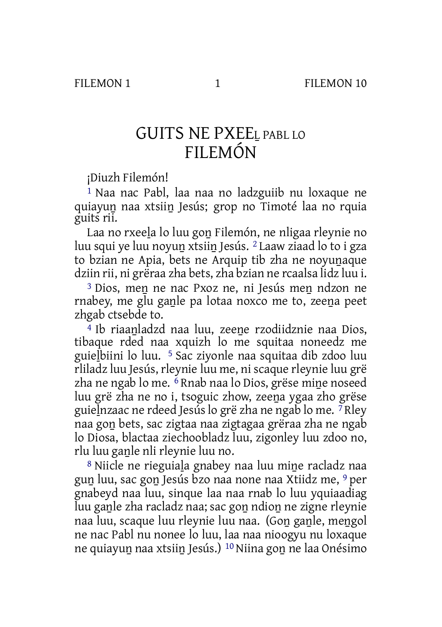## GUITS NE PXEEL PABL LO FILEMÓN

¡Diuzh Filemón!

1 Naa nac Pabl, laa naa no ladzguiib nu loxaque ne quiayuṉ naa xtsiiṉ Jesús; grop no Timoté laa no rquia guits rii.

Laa no rxeeḻa lo luu goṉ Filemón, ne nligaa rleynie no luu squi ye luu noyuṉ xtsiiṉ Jesús. 2 Laaw ziaad lo to i gza to bzian ne Apia, bets ne Arquip tib zha ne noyuṉaque dziin rii, ni grëraa zha bets, zha bzian ne rcaalsa lidz luu i.

<sup>3</sup> Dios, men ne nac Pxoz ne, ni Jesús men ndzon ne rnabey, me glu gaṉle pa lotaa noxco me to, zeeṉa peet zhgab ctsebde to.

<sup>4</sup> Ib riaanladzd naa luu, zeene rzodiidznie naa Dios. tibaque rded naa xquizh lo me squitaa noneedz me guieḻbiini lo luu. 5 Sac ziyonle naa squitaa dib zdoo luu rliladz luu Jesús, rleynie luu me, ni scaque rleynie luu grë zha ne ngab lo me. <sup>6</sup> Rnab naa lo Dios, grëse mine noseed luu grë zha ne no i, tsoguic zhow, zeeṉa ygaa zho grëse guieḻnzaac ne rdeed Jesús lo grë zha ne ngab lo me. 7 Rley naa goṉ bets, sac zigtaa naa zigtagaa grëraa zha ne ngab lo Diosa, blactaa ziechoobladz luu, zigonley luu zdoo no, rlu luu ganle nli rleynie luu no.

8 Niicle ne rieguiala gnabey naa luu mine racladz naa guṉ luu, sac goṉ Jesús bzo naa none naa Xtiidz me, 9 per gnabeyd naa luu, sinque laa naa rnab lo luu yquiaadiag luu gaṉle zha racladz naa; sac goṉ ndioṉ ne zigne rleynie naa luu, scaque luu rleynie luu naa. (Goṉ gaṉle, meṉgol ne nac Pabl nu nonee lo luu, laa naa nioogyu nu loxaque ne quiayuṉ naa xtsiiṉ Jesús.) 10 Niina goṉ ne laa Onésimo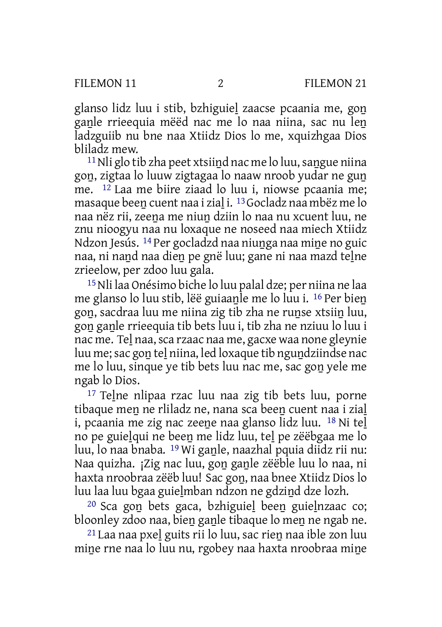glanso lidz luu i stib, bzhiguiel zaacse pcaania me, gon ganle rrieequia mëëd nac me lo naa niina, sac nu len ladzguiib nu bne naa Xtiidz Dios lo me, xquizhgaa Dios bliladz mew.

 $11$ Nli glo tib zha peet xtsiind nac me lo luu, sangue niina gon, zigtaa lo luuw zigtagaa lo naaw nroob yudar ne gun me. 12 Laa me biire ziaad lo luu i, niowse pcaania me; masaque beeṉ cuent naa i ziaḻ i. 13Gocladz naa mbëz me lo naa nëz rii, zeeṉa me niuṉ dziin lo naa nu xcuent luu, ne znu nioogyu naa nu loxaque ne noseed naa miech Xtiidz Ndzon Jesús. <sup>14</sup> Per gocladzd naa niunga naa mine no guic naa, ni naṉd naa dieṉ pe gnë luu; gane ni naa mazd teḻne zrieelow, per zdoo luu gala.

15Nli laa Onésimo biche lo luu palal dze; per niina ne laa me glanso lo luu stib, lëë guiaaṉle me lo luu i. 16 Per bieṉ goṉ, sacdraa luu me niina zig tib zha ne ruṉse xtsiiṉ luu, goṉ gaṉle rrieequia tib bets luu i, tib zha ne nziuu lo luu i nac me. Tel naa, sca rzaac naa me, gacxe waa none gleynie luu me;sac goṉ teḻ niina, led loxaque tib nguṉdziindse nac me lo luu, sinque ye tib bets luu nac me, sac goṉ yele me ngab lo Dios.

17 Teḻne nlipaa rzac luu naa zig tib bets luu, porne tibaque men ne rliladz ne, nana sca been cuent naa i zial i, pcaania me zig nac zeene naa glanso lidz luu. <sup>18</sup> Ni tel no pe guieḻqui ne beeṉ me lidz luu, teḻ pe zëëbgaa me lo luu, lo naa bnaba. <sup>19</sup> Wi ganle, naazhal pquia diidz rii nu: Naa quizha. ¡Zig nac luu, gon ganle zëëble luu lo naa, ni haxta nroobraa zëëb luu! Sac goṉ, naa bnee Xtiidz Dios lo luu laa luu bgaa guieḻmban ndzon ne gdziṉd dze lozh.

20 Sca goṉ bets gaca, bzhiguieḻ beeṉ guieḻnzaac co; bloonley zdoo naa, bien ganle tibaque lo men ne ngab ne.

21 Laa naa pxeḻ guits rii lo luu, sac rieṉ naa ible zon luu mine rne naa lo luu nu, rgobey naa haxta nroobraa mine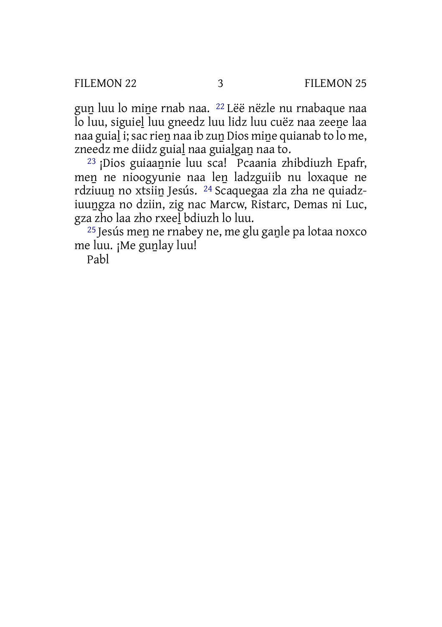gun luu lo mine rnab naa. <sup>22</sup> Lëë nëzle nu rnabaque naa lo luu, siguieḻ luu gneedz luu lidz luu cuëz naa zeeṉe laa naa guial i; sac rien naa ib zun Dios mine quianab to lo me, zneedz me diidz guial naa guialgan naa to.

23 ¡Dios guiaaṉnie luu sca! Pcaania zhibdiuzh Epafr, men ne nioogyunie naa len ladzguiib nu loxaque ne rdziuuṉ no xtsiiṉ Jesús. 24 Scaquegaa zla zha ne quiadziuuṉgza no dziin, zig nac Marcw, Ristarc, Demas ni Luc, gza zho laa zho rxeeḻ bdiuzh lo luu.

<sup>25</sup> Jesús men ne rnabey ne, me glu ganle pa lotaa noxco me luu. ¡Me gunlay luu!

Pabl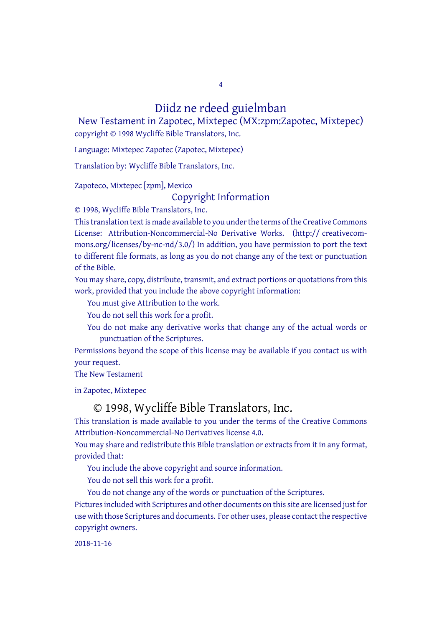## Diidz ne rdeed guielmban

4

New Testament in Zapotec, Mixtepec (MX:zpm:Zapotec, Mixtepec) copyright © 1998 Wycliffe Bible Translators, Inc.

Language: Mixtepec Zapotec (Zapotec, Mixtepec)

Translation by: Wycliffe Bible Translators, Inc.

Zapoteco, Mixtepec [zpm], Mexico

## Copyright Information

© 1998, Wycliffe Bible Translators, Inc.

This translation text is made available to you under the terms of the Creative [Commons](http://creativecommons.org/licenses/by-nc-nd/4.0/) License: Attribution-Noncommercial-No Derivative Works. (http:// creativecommons.org/licenses/by-nc-nd/3.0/) In addition, you have permission to port the text to different file formats, as long as you do not change any of the text or punctuation of the Bible.

You may share, copy, distribute, transmit, and extract portions or quotations from this work, provided that you include the above copyright information:

You must give Attribution to the work.

You do not sell this work for a profit.

You do not make any derivative works that change any of the actual words or punctuation of the Scriptures.

Permissions beyond the scope of this license may be available if you contact us with your request.

The New Testament

in Zapotec, Mixtepec

## © 1998, Wycliffe Bible Translators, Inc.

This translation is made available to you under the terms of the Creative Commons Attribution-Noncommercial-No Derivatives license 4.0.

You may share and redistribute this Bible translation or extracts from it in any format, provided that:

You include the above copyright and source information.

You do not sell this work for a profit.

You do not change any of the words or punctuation of the Scriptures.

Pictures included with Scriptures and other documents on this site are licensed just for use with those Scriptures and documents. For other uses, please contact the respective copyright owners.

2018-11-16